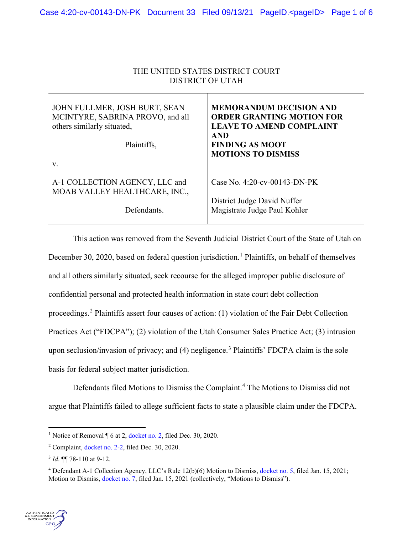| THE UNITED STATES DISTRICT COURT<br><b>DISTRICT OF UTAH</b>                                                    |                                                                                                                                                                            |
|----------------------------------------------------------------------------------------------------------------|----------------------------------------------------------------------------------------------------------------------------------------------------------------------------|
| JOHN FULLMER, JOSH BURT, SEAN<br>MCINTYRE, SABRINA PROVO, and all<br>others similarly situated,<br>Plaintiffs, | <b>MEMORANDUM DECISION AND</b><br><b>ORDER GRANTING MOTION FOR</b><br><b>LEAVE TO AMEND COMPLAINT</b><br><b>AND</b><br><b>FINDING AS MOOT</b><br><b>MOTIONS TO DISMISS</b> |
| V.                                                                                                             |                                                                                                                                                                            |
| A-1 COLLECTION AGENCY, LLC and<br>MOAB VALLEY HEALTHCARE, INC.,                                                | Case No. 4:20-cv-00143-DN-PK                                                                                                                                               |
| Defendants.                                                                                                    | District Judge David Nuffer<br>Magistrate Judge Paul Kohler                                                                                                                |

This action was removed from the Seventh Judicial District Court of the State of Utah on December 30, 2020, based on federal question jurisdiction.<sup>[1](#page-0-0)</sup> Plaintiffs, on behalf of themselves and all others similarly situated, seek recourse for the alleged improper public disclosure of confidential personal and protected health information in state court debt collection proceedings.[2](#page-0-1) Plaintiffs assert four causes of action: (1) violation of the Fair Debt Collection Practices Act ("FDCPA"); (2) violation of the Utah Consumer Sales Practice Act; (3) intrusion upon seclusion/invasion of privacy; and (4) negligence.<sup>[3](#page-0-2)</sup> Plaintiffs' FDCPA claim is the sole basis for federal subject matter jurisdiction.

Defendants filed Motions to Dismiss the Complaint. [4](#page-0-3) The Motions to Dismiss did not argue that Plaintiffs failed to allege sufficient facts to state a plausible claim under the FDCPA.

<span id="page-0-3"></span><span id="page-0-2"></span><span id="page-0-1"></span><span id="page-0-0"></span><sup>4</sup> Defendant A-1 Collection Agency, LLC's Rule 12(b)(6) Motion to Dismiss, [docket no. 5,](https://ecf.utd.uscourts.gov/doc1/18315218977) filed Jan. 15, 2021; Motion to Dismiss, [docket no. 7,](https://ecf.utd.uscourts.gov/doc1/18315219682) filed Jan. 15, 2021 (collectively, "Motions to Dismiss").



<sup>&</sup>lt;sup>1</sup> Notice of Removal  $\P$  6 at 2[, docket no. 2,](https://ecf.utd.uscourts.gov/doc1/18315204764) filed Dec. 30, 2020.

<sup>2</sup> Complaint, [docket no. 2-2,](https://ecf.utd.uscourts.gov/doc1/18315204766) filed Dec. 30, 2020.

<sup>3</sup> *Id*. ¶¶ 78-110 at 9-12.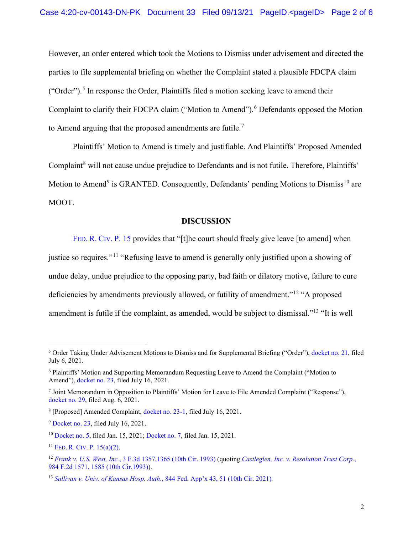However, an order entered which took the Motions to Dismiss under advisement and directed the parties to file supplemental briefing on whether the Complaint stated a plausible FDCPA claim ("Order").<sup>[5](#page-1-0)</sup> In response the Order, Plaintiffs filed a motion seeking leave to amend their Complaint to clarify their FDCPA claim ("Motion to Amend").<sup>[6](#page-1-1)</sup> Defendants opposed the Motion to Amend arguing that the proposed amendments are futile.<sup>[7](#page-1-2)</sup>

Plaintiffs' Motion to Amend is timely and justifiable. And Plaintiffs' Proposed Amended Complaint<sup>[8](#page-1-3)</sup> will not cause undue prejudice to Defendants and is not futile. Therefore, Plaintiffs' Motion to Amend<sup>[9](#page-1-4)</sup> is GRANTED. Consequently, Defendants' pending Motions to Dismiss<sup>[10](#page-1-5)</sup> are MOOT.

## **DISCUSSION**

[FED.](https://www.westlaw.com/Document/N65EAF460B96211D8983DF34406B5929B/View/FullText.html?transitionType=Default&contextData=(sc.Default)&VR=3.0&RS=da3.0) R. CIV. P. 15 provides that "[t]he court should freely give leave [to amend] when justice so requires."<sup>[11](#page-1-6)</sup> "Refusing leave to amend is generally only justified upon a showing of undue delay, undue prejudice to the opposing party, bad faith or dilatory motive, failure to cure deficiencies by amendments previously allowed, or futility of amendment."[12](#page-1-7) "A proposed amendment is futile if the complaint, as amended, would be subject to dismissal."[13](#page-1-8) "It is well

<span id="page-1-0"></span><sup>5</sup> Order Taking Under Advisement Motions to Dismiss and for Supplemental Briefing ("Order"), [docket no. 21,](https://ecf.utd.uscourts.gov/doc1/18315391088) filed July 6, 2021.

<span id="page-1-1"></span><sup>6</sup> Plaintiffs' Motion and Supporting Memorandum Requesting Leave to Amend the Complaint ("Motion to Amend"), [docket no. 23,](https://ecf.utd.uscourts.gov/doc1/18305402388) filed July 16, 2021.

<span id="page-1-2"></span><sup>7</sup> Joint Memorandum in Opposition to Plaintiffs' Motion for Leave to File Amended Complaint ("Response"), [docket no. 29,](https://ecf.utd.uscourts.gov/doc1/18315422858) filed Aug. 6, 2021.

<span id="page-1-3"></span><sup>8</sup> [Proposed] Amended Complaint[, docket no. 23-1,](https://ecf.utd.uscourts.gov/doc1/18315402389) filed July 16, 2021.

<span id="page-1-4"></span><sup>9</sup> [Docket no. 23,](https://ecf.utd.uscourts.gov/doc1/18305402388) filed July 16, 2021.

<span id="page-1-5"></span><sup>10</sup> [Docket no. 5,](https://ecf.utd.uscourts.gov/doc1/18315218977) filed Jan. 15, 2021; [Docket no. 7,](https://ecf.utd.uscourts.gov/doc1/18315219682) filed Jan. 15, 2021.

<span id="page-1-6"></span><sup>&</sup>lt;sup>11</sup> FED. R. CIV. P.  $15(a)(2)$ .

<span id="page-1-7"></span><sup>12</sup> *Frank v. U.S. West, Inc.*[, 3 F.3d 1357,1365 \(10th Cir. 1993\)](https://www.westlaw.com/Document/Id7bdd40596fb11d9bdd1cfdd544ca3a4/View/FullText.html?transitionType=Default&contextData=(sc.Default)&VR=3.0&RS=da3.0&fragmentIdentifier=co_pp_sp_506_1365) (quoting *[Castleglen, Inc. v. Resolution Trust Corp.](https://www.westlaw.com/Document/I84b9f4d3957211d993e6d35cc61aab4a/View/FullText.html?transitionType=Default&contextData=(sc.Default)&VR=3.0&RS=da3.0&fragmentIdentifier=co_pp_sp_350_1585)*, [984 F.2d 1571, 1585 \(10th Cir.1993\)\)](https://www.westlaw.com/Document/I84b9f4d3957211d993e6d35cc61aab4a/View/FullText.html?transitionType=Default&contextData=(sc.Default)&VR=3.0&RS=da3.0&fragmentIdentifier=co_pp_sp_350_1585).

<span id="page-1-8"></span><sup>13</sup> *Sullivan v. Univ. of Kansas Hosp. Auth.*[, 844 Fed. App'x 43, 51 \(10th Cir. 2021\)](https://www.westlaw.com/Document/Ic25162f062ad11eb8cb3c4fde92c4669/View/FullText.html?transitionType=Default&contextData=(sc.Default)&VR=3.0&RS=da3.0&fragmentIdentifier=co_pp_sp_6538_51)*.*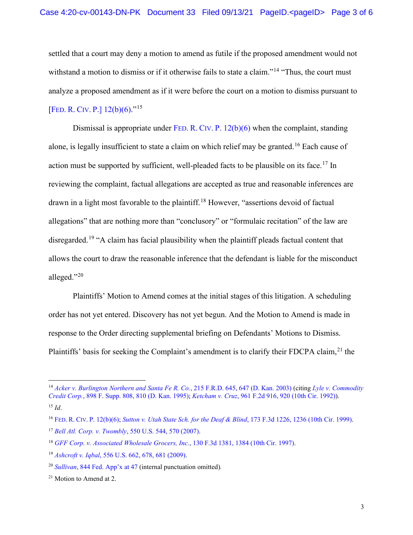settled that a court may deny a motion to amend as futile if the proposed amendment would not withstand a motion to dismiss or if it otherwise fails to state a claim."<sup>[14](#page-2-0)</sup> "Thus, the court must analyze a proposed amendment as if it were before the court on a motion to dismiss pursuant to [FED. R. CIV. [P.\] 12\(b\)\(6\).](https://www.westlaw.com/Document/N96C8CD1043A111DC8D9EC9ECEEDEF2EE/View/FullText.html?transitionType=Default&contextData=(sc.Default)&VR=3.0&RS=da3.0)"<sup>[15](#page-2-1)</sup>

Dismissal is appropriate under FED. R. CIV. P.  $12(b)(6)$  when the complaint, standing alone, is legally insufficient to state a claim on which relief may be granted.[16](#page-2-2) Each cause of action must be supported by sufficient, well-pleaded facts to be plausible on its face.<sup>[17](#page-2-3)</sup> In reviewing the complaint, factual allegations are accepted as true and reasonable inferences are drawn in a light most favorable to the plaintiff.<sup>[18](#page-2-4)</sup> However, "assertions devoid of factual allegations" that are nothing more than "conclusory" or "formulaic recitation" of the law are disregarded.<sup>[19](#page-2-5)</sup> "A claim has facial plausibility when the plaintiff pleads factual content that allows the court to draw the reasonable inference that the defendant is liable for the misconduct alleged."[20](#page-2-6)

Plaintiffs' Motion to Amend comes at the initial stages of this litigation. A scheduling order has not yet entered. Discovery has not yet begun. And the Motion to Amend is made in response to the Order directing supplemental briefing on Defendants' Motions to Dismiss. Plaintiffs' basis for seeking the Complaint's amendment is to clarify their FDCPA claim,<sup>[21](#page-2-7)</sup> the

<span id="page-2-0"></span><sup>14</sup> *[Acker v. Burlington Northern and Santa Fe R. Co.](https://www.westlaw.com/Document/I046c08b0540c11d9a99c85a9e6023ffa/View/FullText.html?transitionType=Default&contextData=(sc.Default)&VR=3.0&RS=da3.0&fragmentIdentifier=co_pp_sp_344_647)*, 215 F.R.D. 645, 647 (D. Kan. 2003) (citing *[Lyle v. Commodity](https://1.next.westlaw.com/Document/Ide9d1608564111d9bf30d7fdf51b6bd4/View/FullText.html?transitionType=UniqueDocItem&contextData=(sc.Default)&userEnteredCitation=898+F.+Supp.+810#co_pp_sp_345_810)  Credit Corp.*[, 898 F. Supp. 808, 810 \(D. Kan. 1995\);](https://1.next.westlaw.com/Document/Ide9d1608564111d9bf30d7fdf51b6bd4/View/FullText.html?transitionType=UniqueDocItem&contextData=(sc.Default)&userEnteredCitation=898+F.+Supp.+810#co_pp_sp_345_810) *Ketcham v. Cruz*[, 961 F.2d 916, 920 \(10th Cir. 1992\)\)](https://www.westlaw.com/Document/I3721c6e794cc11d993e6d35cc61aab4a/View/FullText.html?transitionType=Default&contextData=(sc.Default)&VR=3.0&RS=da3.0&fragmentIdentifier=co_pp_sp_350_920). <sup>15</sup> *Id*.

<span id="page-2-2"></span><span id="page-2-1"></span><sup>16</sup> FED. R. CIV. [P. 12\(b\)\(6\);](https://www.westlaw.com/Document/N96C8CD1043A111DC8D9EC9ECEEDEF2EE/View/FullText.html?transitionType=Default&contextData=(sc.Default)&VR=3.0&RS=da3.0) *[Sutton v. Utah State Sch. for the Deaf & Blind](https://www.westlaw.com/Document/Ie0996fd1948a11d993e6d35cc61aab4a/View/FullText.html?transitionType=Default&contextData=(sc.Default)&VR=3.0&RS=da3.0&fragmentIdentifier=co_pp_sp_506_1236)*, 173 F.3d 1226, 1236 (10th Cir. 1999).

<span id="page-2-3"></span><sup>17</sup> *Bell Atl. Corp. v. Twombly*[, 550 U.S. 544, 570 \(2007\).](https://www.westlaw.com/Document/Ib53eb62e07a011dcb035bac3a32ef289/View/FullText.html?transitionType=Default&contextData=(sc.Default)&VR=3.0&RS=da3.0&fragmentIdentifier=co_pp_sp_780_570)

<span id="page-2-4"></span><sup>18</sup> *[GFF Corp. v. Associated Wholesale Grocers, Inc.](https://www.westlaw.com/Document/I451446e3943311d9bc61beebb95be672/View/FullText.html?transitionType=Default&contextData=(sc.Default)&VR=3.0&RS=da3.0&fragmentIdentifier=co_pp_sp_506_1384)*, 130 F.3d 1381, 1384 (10th Cir. 1997).

<span id="page-2-5"></span><sup>19</sup> *Ashcroft v. Iqbal*[, 556 U.S. 662, 678, 681 \(2009\).](https://www.westlaw.com/Document/I90623386439011de8bf6cd8525c41437/View/FullText.html?transitionType=Default&contextData=(sc.Default)&VR=3.0&RS=da3.0&fragmentIdentifier=co_pp_sp_780_678%2c+681)

<span id="page-2-6"></span><sup>20</sup> *Sullivan*[, 844 Fed. App'x at 47](https://www.westlaw.com/Document/Ic25162f062ad11eb8cb3c4fde92c4669/View/FullText.html?transitionType=Default&contextData=(sc.Default)&VR=3.0&RS=da3.0&fragmentIdentifier=co_pp_sp_6538_47) (internal punctuation omitted)*.*

<span id="page-2-7"></span><sup>&</sup>lt;sup>21</sup> Motion to Amend at 2.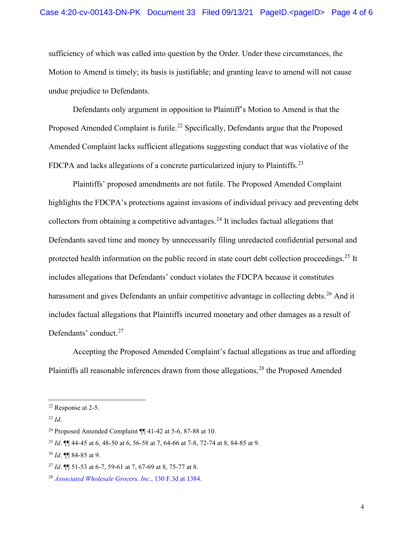sufficiency of which was called into question by the Order. Under these circumstances, the Motion to Amend is timely; its basis is justifiable; and granting leave to amend will not cause undue prejudice to Defendants.

Defendants only argument in opposition to Plaintiff's Motion to Amend is that the Proposed Amended Complaint is futile.<sup>[22](#page-3-0)</sup> Specifically, Defendants argue that the Proposed Amended Complaint lacks sufficient allegations suggesting conduct that was violative of the FDCPA and lacks allegations of a concrete particularized injury to Plaintiffs.<sup>[23](#page-3-1)</sup>

Plaintiffs' proposed amendments are not futile. The Proposed Amended Complaint highlights the FDCPA's protections against invasions of individual privacy and preventing debt collectors from obtaining a competitive advantages. [24](#page-3-2) It includes factual allegations that Defendants saved time and money by unnecessarily filing unredacted confidential personal and protected health information on the public record in state court debt collection proceedings.<sup>[25](#page-3-3)</sup> It includes allegations that Defendants' conduct violates the FDCPA because it constitutes harassment and gives Defendants an unfair competitive advantage in collecting debts.<sup>[26](#page-3-4)</sup> And it includes factual allegations that Plaintiffs incurred monetary and other damages as a result of Defendants' conduct.<sup>[27](#page-3-5)</sup>

Accepting the Proposed Amended Complaint's factual allegations as true and affording Plaintiffs all reasonable inferences drawn from those allegations,  $^{28}$  $^{28}$  $^{28}$  the Proposed Amended

<span id="page-3-0"></span><sup>22</sup> Response at 2-5.

<span id="page-3-1"></span><sup>23</sup> *Id*.

<span id="page-3-2"></span><sup>&</sup>lt;sup>24</sup> Proposed Amended Complaint  $\P$  41-42 at 5-6, 87-88 at 10.

<span id="page-3-3"></span><sup>25</sup> *Id*. ¶¶ 44-45 at 6, 48-50 at 6, 56-58 at 7, 64-66 at 7-8, 72-74 at 8, 84-85 at 9.

<span id="page-3-4"></span><sup>26</sup> *Id*. ¶¶ 84-85 at 9.

<span id="page-3-5"></span><sup>27</sup> *Id*. ¶¶ 51-53 at 6-7, 59-61 at 7, 67-69 at 8, 75-77 at 8.

<span id="page-3-6"></span><sup>28</sup> *Associated Wholesale Grocers, Inc.*, 130 F.3d at 1384.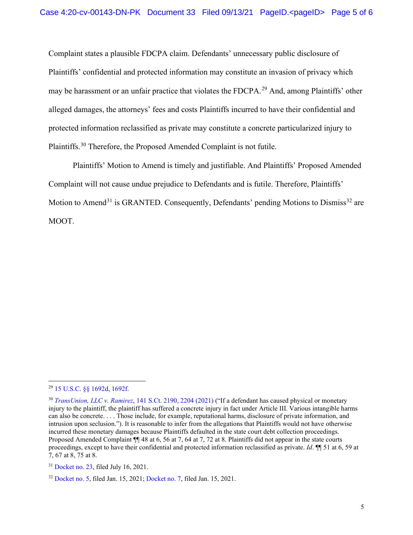Complaint states a plausible FDCPA claim. Defendants' unnecessary public disclosure of Plaintiffs' confidential and protected information may constitute an invasion of privacy which may be harassment or an unfair practice that violates the FDCPA.<sup>[29](#page-4-0)</sup> And, among Plaintiffs' other alleged damages, the attorneys' fees and costs Plaintiffs incurred to have their confidential and protected information reclassified as private may constitute a concrete particularized injury to Plaintiffs.[30](#page-4-1) Therefore, the Proposed Amended Complaint is not futile.

Plaintiffs' Motion to Amend is timely and justifiable. And Plaintiffs' Proposed Amended Complaint will not cause undue prejudice to Defendants and is futile. Therefore, Plaintiffs' Motion to Amend<sup>[31](#page-4-2)</sup> is GRANTED. Consequently, Defendants' pending Motions to Dismiss<sup>[32](#page-4-3)</sup> are MOOT.

<span id="page-4-0"></span><sup>29</sup> 15 U.S.C. §§ 1692d, 1692f.

<span id="page-4-1"></span><sup>30</sup> *TransUnion, LLC v. Ramirez*, 141 S.Ct. 2190, 2204 (2021) ("If a defendant has caused physical or monetary injury to the plaintiff, the plaintiff has suffered a concrete injury in fact under Article III. Various intangible harms can also be concrete. . . . Those include, for example, reputational harms, disclosure of private information, and intrusion upon seclusion."). It is reasonable to infer from the allegations that Plaintiffs would not have otherwise incurred these monetary damages because Plaintiffs defaulted in the state court debt collection proceedings. Proposed Amended Complaint ¶¶ 48 at 6, 56 at 7, 64 at 7, 72 at 8. Plaintiffs did not appear in the state courts proceedings, except to have their confidential and protected information reclassified as private. *Id*. ¶¶ 51 at 6, 59 at 7, 67 at 8, 75 at 8.

<span id="page-4-2"></span><sup>&</sup>lt;sup>31</sup> Docket no. 23, filed July 16, 2021.

<span id="page-4-3"></span><sup>32</sup> Docket no. 5, filed Jan. 15, 2021; Docket no. 7, filed Jan. 15, 2021.